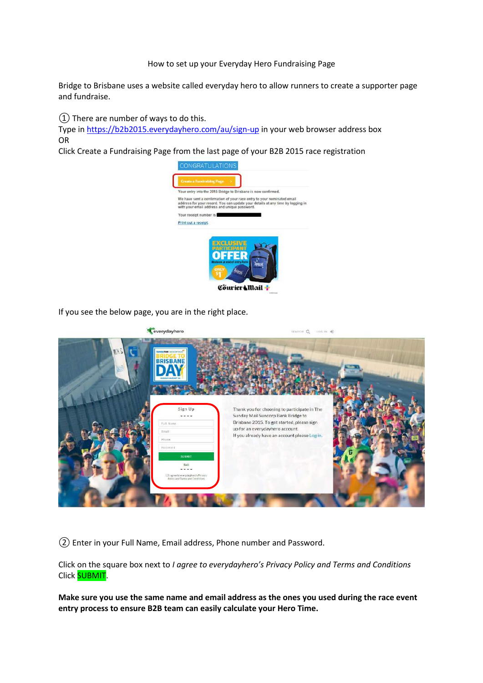#### How to set up your Everyday Hero Fundraising Page

Bridge to Brisbane uses a website called everyday hero to allow runners to create a supporter page and fundraise.

 $\Omega$  There are number of ways to do this.

Type in<https://b2b2015.everydayhero.com/au/sign-up> in your web browser address box OR

Click Create a Fundraising Page from the last page of your B2B 2015 race registration



If you see the below page, you are in the right place.



② Enter in your Full Name, Email address, Phone number and Password.

Click on the square box next to *I agree to everydayhero's Privacy Policy and Terms and Conditions*  Click **SUBMIT**.

**Make sure you use the same name and email address as the ones you used during the race event entry process to ensure B2B team can easily calculate your Hero Time.**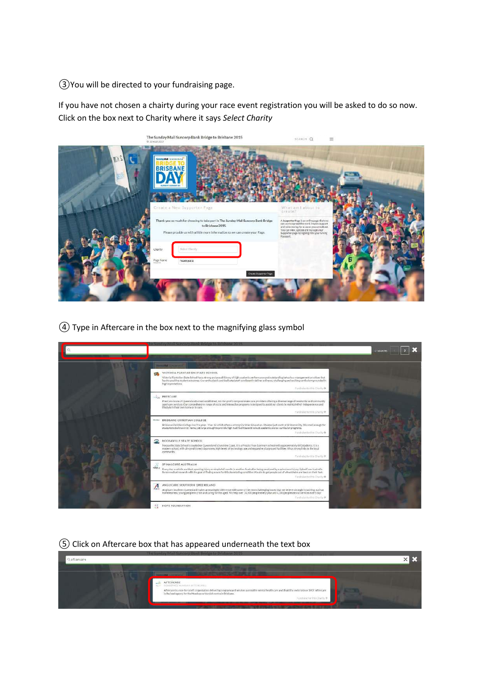③You will be directed to your fundraising page.

If you have not chosen a chairty during your race event registration you will be asked to do so now. Click on the box next to Charity where it says *Select Charity*

|               | The Sunday Mail Suncorp Bank Bridge to Brisbane 2015<br><b>C.30 AUG 2017</b>                                                                                                            | SEARCH Q                                                                                                                                                                                                                                     | $\equiv$ |
|---------------|-----------------------------------------------------------------------------------------------------------------------------------------------------------------------------------------|----------------------------------------------------------------------------------------------------------------------------------------------------------------------------------------------------------------------------------------------|----------|
| $\mathcal{U}$ | SindayMall SUNCOUTRING<br><b>BRISBANE</b><br>Greate a New Supporter Page                                                                                                                |                                                                                                                                                                                                                                              |          |
|               |                                                                                                                                                                                         | What am I about to                                                                                                                                                                                                                           |          |
|               | Thank you so much for choosing to take part in The Sunday Mall Suncorp Bank Bridge<br>to Brisbane 2015.<br>Please provide us with a little more information so we can create your Page. | A Supporter Page is an oriline page that you<br>can use to spread the word, inspire support<br>and raise money for a cause you care about.<br>You can view, update and manage your<br>Supporter page by signing into your Giving<br>Passport |          |
|               | Select Charity<br>Chanty.                                                                                                                                                               |                                                                                                                                                                                                                                              |          |
|               | Page Name<br>headspace                                                                                                                                                                  |                                                                                                                                                                                                                                              |          |
|               | Creste Supporter Page                                                                                                                                                                   |                                                                                                                                                                                                                                              |          |

④ Type in Aftercare in the box next to the magnifying glass symbol



# ⑤ Click on Aftercare box that has appeared underneath the text box

|             | The Sonday Mail Suncorp Bank Bridge to Brisbane 2015<br><b><i><u> 1979 - 1989 - 1989 - 1989 - 1989 - 1989 - 1989 - 1989 - 1989 - 1989 - 1989 - 1989 - 1989 - 1989 - 1989 - 1989 - 1989 - 1989 - 1989 - 1989 - 1989 - 1989 - 1989 - 1989 - 1989 - 1989 - 1989 - 1989 - 1989 - 1989 - 1989 - 1</u></i></b> |  |
|-------------|----------------------------------------------------------------------------------------------------------------------------------------------------------------------------------------------------------------------------------------------------------------------------------------------------------|--|
| Quaftercare |                                                                                                                                                                                                                                                                                                          |  |
|             |                                                                                                                                                                                                                                                                                                          |  |
|             |                                                                                                                                                                                                                                                                                                          |  |
|             | AFTERCARE<br>READSPACE NUNDAH (ATTERCARE)                                                                                                                                                                                                                                                                |  |
|             | Aftercare is a non-for-profit organisation delivering programs and services across the mental health care and disability sectors since 1907. Aftercare in the lead agrees; to the Hundigares Nundido service in the lead agree                                                                           |  |
|             | Fundale terminiziants +                                                                                                                                                                                                                                                                                  |  |
|             |                                                                                                                                                                                                                                                                                                          |  |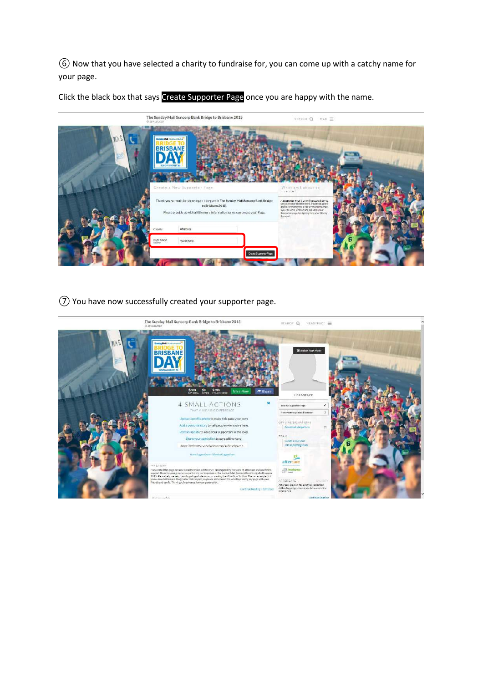⑥ Now that you have selected a charity to fundraise for, you can come up with a catchy name for your page.

Click the black box that says Create Supporter Page once you are happy with the name.



⑦ You have now successfully created your supporter page.

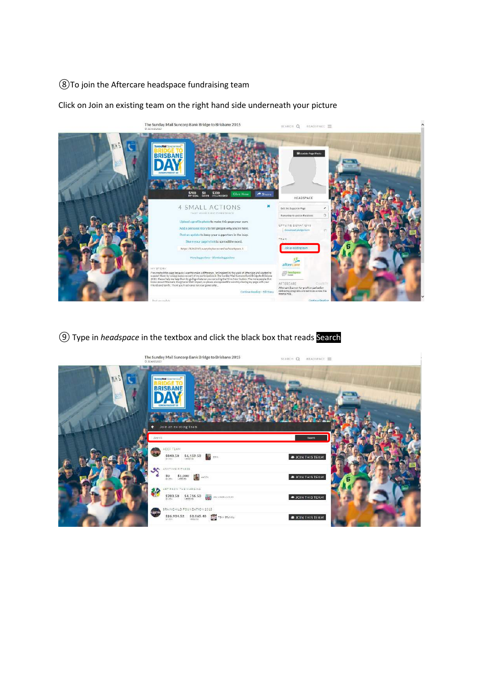### To join the Aftercare headspace fundraising team

Click on Join an existing team on the right hand side underneath your picture



Type in *headspace* in the textbox and click the black box that reads Search

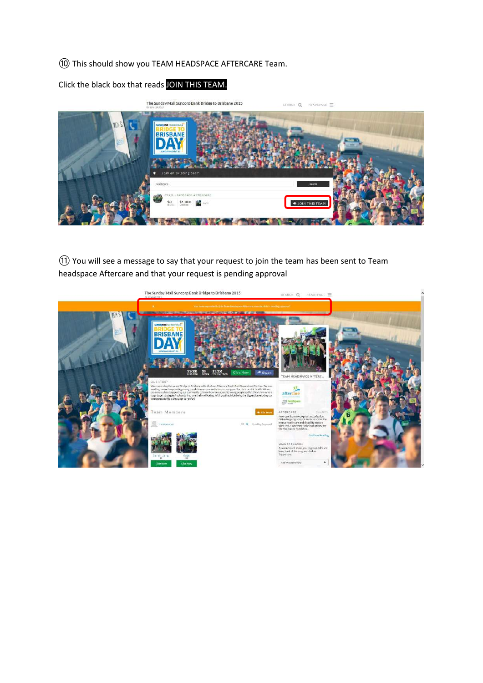# ⑩ This should show you TEAM HEADSPACE AFTERCARE Team.

Click the black box that reads JOIN THIS TEAM.



⑪ You will see a message to say that your request to join the team has been sent to Team headspace Aftercare and that your request is pending approval

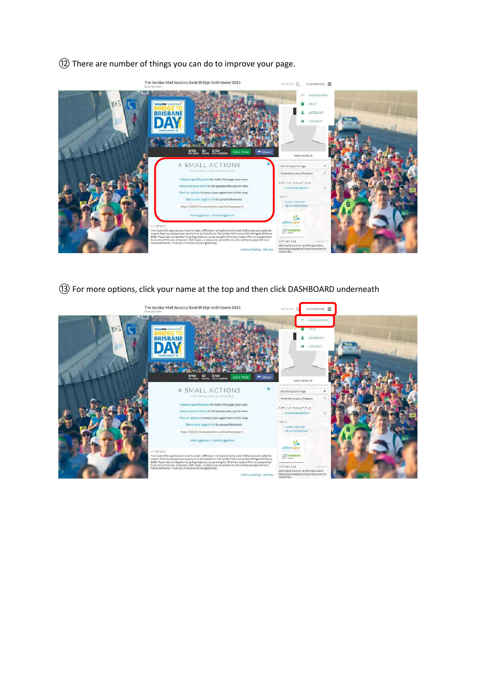# There are number of things you can do to improve your page.



For more options, click your name at the top and then click DASHBOARD underneath